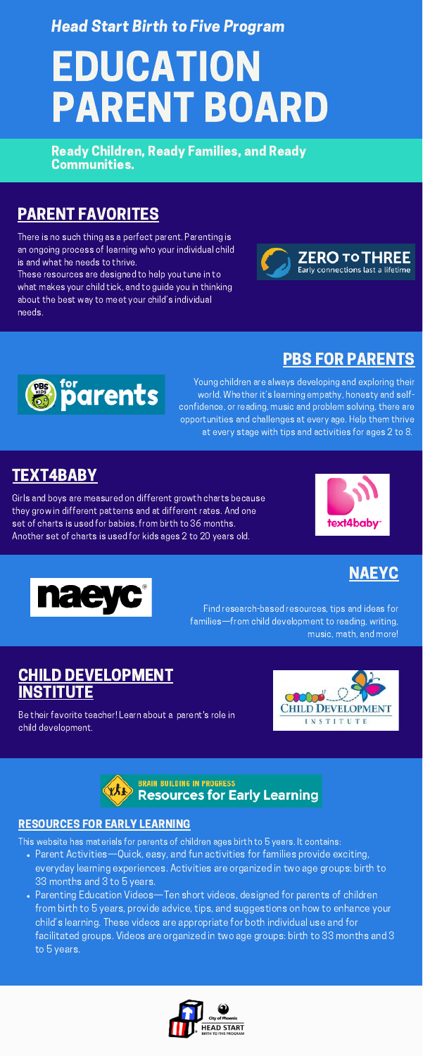#### [RESOURCES](http://resourcesforearlylearning.org/) FOR EARLY LEARNING

- Parent Activities—Quick, easy, and fun activities for families provide exciting, everyday learning experiences. Activities are organized in two age groups: birth to 33 months and 3 to 5 years.
- Parenting Education Videos—Ten short videos, designed for parents of children from birth to 5 years, provide advice, tips, and suggestions on how to enhance your child's learning. These videos are appropriate for both individual use and for facilitated groups. Videos are organized in two age groups: birth to 33 months and 3 to 5 years.



This website has materials for parents of children ages birth to 5 years. It contains:

## EDUCATION PARENT BOARD Head Start Birth to Five Program

#### [TEXT4BABY](https://www.text4baby.org/learn/newmom/growthy-charts)

Girls and boys are measured on different growth charts because they grow in different patterns and at different rates. And one set of charts is used for babies, from birth to 36 months. Another set of charts is used for kids ages 2 to 20 years old.





#### CHILD [DEVELOPMENT](https://childdevelopmentinfo.com/learning/#gs.5t1dur) NSTITUTE

### PARENT [FAVORITES](https://www.zerotothree.org/resources/series/parent-favorites)

There is no such thing as a perfect parent. Parenting is an ongoing process of learning who your individual child is and what he needs to thrive.

These resources are designed to help you tune in to what makes your child tick, and to guide you in thinking about the best way to meet your child's individual needs.





#### PBS FOR [PARENTS](https://www.pbs.org/parents)

Young children are always developing and exploring their world. Whether it's learning empathy, honesty and selfconfidence, or reading, music and problem solving, there are opportunities and challenges at every age. Help them thrive at every stage with tips and activities for ages 2 to 8.

#### [NAEYC](https://www.naeyc.org/our-work/for-families)

Find research-based resources, tips and ideas for families—from child development to reading, writing,

Be their favorite teacher! Learn about a parent's role in child development.





Ready Children, Ready Families, and Ready Communities.